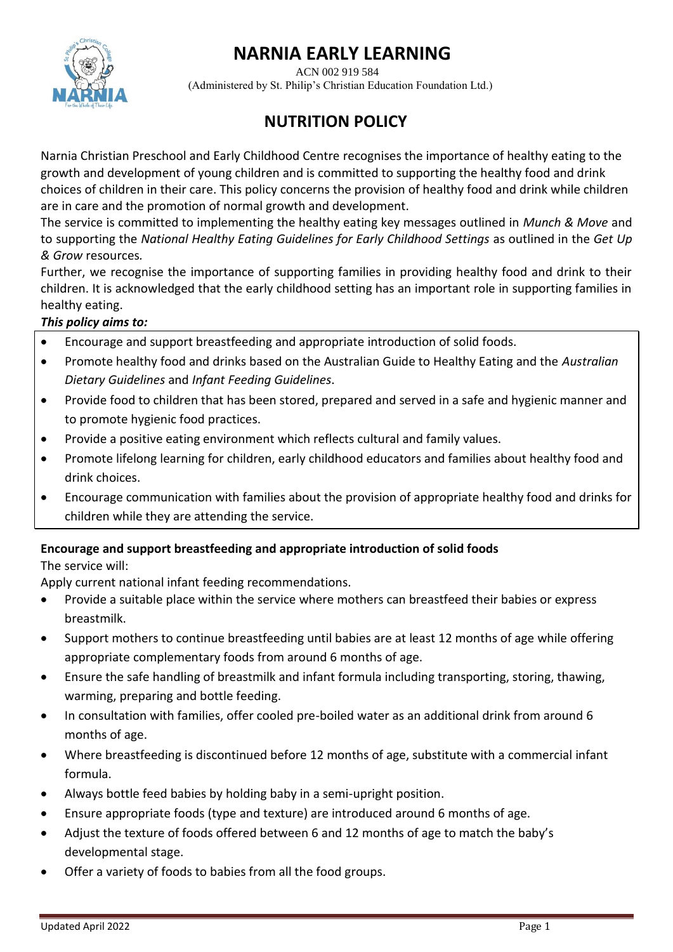# **NARNIA EARLY LEARNING**



 ACN 002 919 584 (Administered by St. Philip's Christian Education Foundation Ltd.)

## **NUTRITION POLICY**

Narnia Christian Preschool and Early Childhood Centre recognises the importance of healthy eating to the growth and development of young children and is committed to supporting the healthy food and drink choices of children in their care. This policy concerns the provision of healthy food and drink while children are in care and the promotion of normal growth and development.

The service is committed to implementing the healthy eating key messages outlined in *Munch & Move* and to supporting the *National Healthy Eating Guidelines for Early Childhood Settings* as outlined in the *Get Up & Grow* resources*.*

Further, we recognise the importance of supporting families in providing healthy food and drink to their children. It is acknowledged that the early childhood setting has an important role in supporting families in healthy eating.

#### *This policy aims to:*

- Encourage and support breastfeeding and appropriate introduction of solid foods.
- Promote healthy food and drinks based on the Australian Guide to Healthy Eating and the *Australian Dietary Guidelines* and *Infant Feeding Guidelines*.
- Provide food to children that has been stored, prepared and served in a safe and hygienic manner and to promote hygienic food practices.
- Provide a positive eating environment which reflects cultural and family values.
- Promote lifelong learning for children, early childhood educators and families about healthy food and drink choices.
- Encourage communication with families about the provision of appropriate healthy food and drinks for children while they are attending the service.

#### **Encourage and support breastfeeding and appropriate introduction of solid foods**

The service will:

Apply current national infant feeding recommendations.

- Provide a suitable place within the service where mothers can breastfeed their babies or express breastmilk.
- Support mothers to continue breastfeeding until babies are at least 12 months of age while offering appropriate complementary foods from around 6 months of age.
- Ensure the safe handling of breastmilk and infant formula including transporting, storing, thawing, warming, preparing and bottle feeding.
- In consultation with families, offer cooled pre-boiled water as an additional drink from around 6 months of age.
- Where breastfeeding is discontinued before 12 months of age, substitute with a commercial infant formula.
- Always bottle feed babies by holding baby in a semi-upright position.
- Ensure appropriate foods (type and texture) are introduced around 6 months of age.
- Adjust the texture of foods offered between 6 and 12 months of age to match the baby's developmental stage.
- Offer a variety of foods to babies from all the food groups.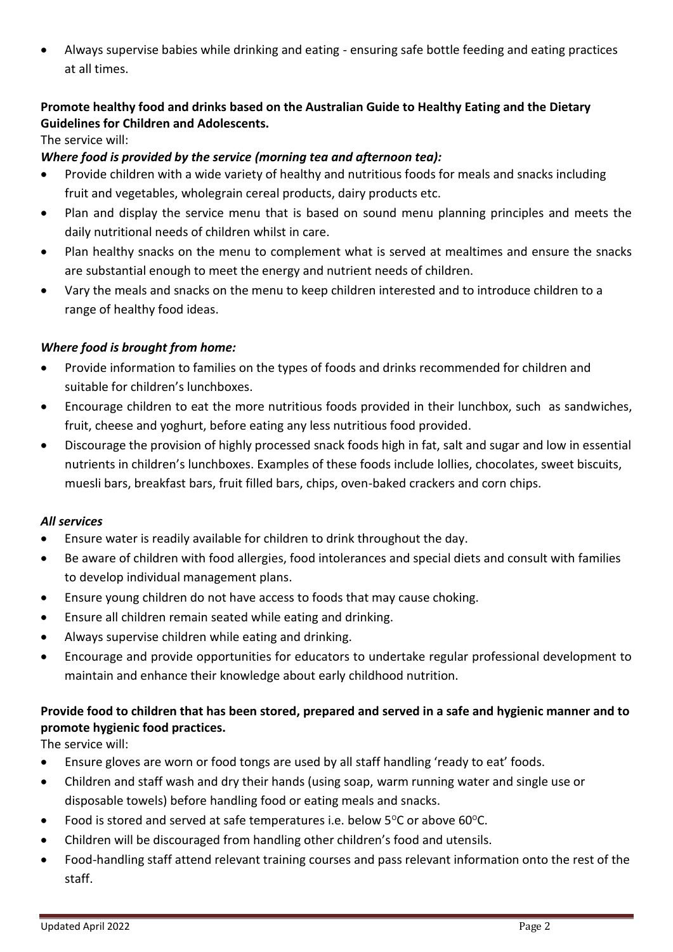• Always supervise babies while drinking and eating - ensuring safe bottle feeding and eating practices at all times.

#### **Promote healthy food and drinks based on the Australian Guide to Healthy Eating and the Dietary Guidelines for Children and Adolescents.**

The service will:

#### *Where food is provided by the service (morning tea and afternoon tea):*

- Provide children with a wide variety of healthy and nutritious foods for meals and snacks including fruit and vegetables, wholegrain cereal products, dairy products etc.
- Plan and display the service menu that is based on sound menu planning principles and meets the daily nutritional needs of children whilst in care.
- Plan healthy snacks on the menu to complement what is served at mealtimes and ensure the snacks are substantial enough to meet the energy and nutrient needs of children.
- Vary the meals and snacks on the menu to keep children interested and to introduce children to a range of healthy food ideas.

#### *Where food is brought from home:*

- Provide information to families on the types of foods and drinks recommended for children and suitable for children's lunchboxes.
- Encourage children to eat the more nutritious foods provided in their lunchbox, such as sandwiches, fruit, cheese and yoghurt, before eating any less nutritious food provided.
- Discourage the provision of highly processed snack foods high in fat, salt and sugar and low in essential nutrients in children's lunchboxes. Examples of these foods include lollies, chocolates, sweet biscuits, muesli bars, breakfast bars, fruit filled bars, chips, oven-baked crackers and corn chips.

#### *All services*

- Ensure water is readily available for children to drink throughout the day.
- Be aware of children with food allergies, food intolerances and special diets and consult with families to develop individual management plans.
- Ensure young children do not have access to foods that may cause choking.
- Ensure all children remain seated while eating and drinking.
- Always supervise children while eating and drinking.
- Encourage and provide opportunities for educators to undertake regular professional development to maintain and enhance their knowledge about early childhood nutrition.

## **Provide food to children that has been stored, prepared and served in a safe and hygienic manner and to promote hygienic food practices.**

The service will:

- Ensure gloves are worn or food tongs are used by all staff handling 'ready to eat' foods.
- Children and staff wash and dry their hands (using soap, warm running water and single use or disposable towels) before handling food or eating meals and snacks.
- Food is stored and served at safe temperatures i.e. below  $5^{\circ}$ C or above 60 $^{\circ}$ C.
- Children will be discouraged from handling other children's food and utensils.
- Food-handling staff attend relevant training courses and pass relevant information onto the rest of the staff.